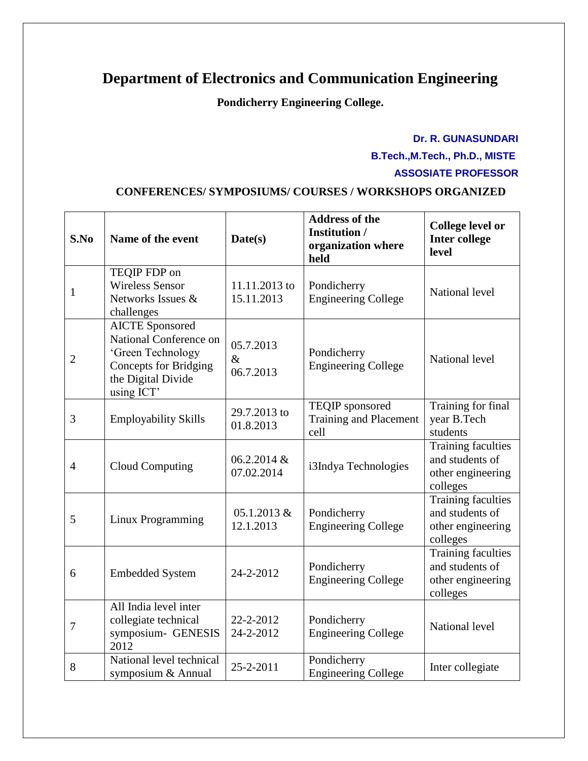## **Department of Electronics and Communication Engineering**

**Pondicherry Engineering College.**

## **Dr. R. GUNASUNDARI B.Tech.,M.Tech., Ph.D., MISTE ASSOSIATE PROFESSOR**

## **CONFERENCES/ SYMPOSIUMS/ COURSES / WORKSHOPS ORGANIZED**

| S.No           | Name of the event                                                                                                                         | Date(s)                        | <b>Address of the</b><br><b>Institution</b> /<br>organization where<br>held | <b>College level or</b><br><b>Inter college</b><br>level                      |
|----------------|-------------------------------------------------------------------------------------------------------------------------------------------|--------------------------------|-----------------------------------------------------------------------------|-------------------------------------------------------------------------------|
| $\mathbf{1}$   | TEQIP FDP on<br><b>Wireless Sensor</b><br>Networks Issues &<br>challenges                                                                 | 11.11.2013 to<br>15.11.2013    | Pondicherry<br><b>Engineering College</b>                                   | National level                                                                |
| $\overline{2}$ | <b>AICTE</b> Sponsored<br>National Conference on<br>'Green Technology<br><b>Concepts for Bridging</b><br>the Digital Divide<br>using ICT' | 05.7.2013<br>$\&$<br>06.7.2013 | Pondicherry<br><b>Engineering College</b>                                   | National level                                                                |
| 3              | <b>Employability Skills</b>                                                                                                               | 29.7.2013 to<br>01.8.2013      | TEQIP sponsored<br>Training and Placement<br>cell                           | Training for final<br>year B.Tech<br>students                                 |
| $\overline{4}$ | <b>Cloud Computing</b>                                                                                                                    | 06.2.2014 &<br>07.02.2014      | i3Indya Technologies                                                        | <b>Training faculties</b><br>and students of<br>other engineering<br>colleges |
| 5              | Linux Programming                                                                                                                         | 05.1.2013 &<br>12.1.2013       | Pondicherry<br><b>Engineering College</b>                                   | Training faculties<br>and students of<br>other engineering<br>colleges        |
| 6              | <b>Embedded System</b>                                                                                                                    | 24-2-2012                      | Pondicherry<br><b>Engineering College</b>                                   | <b>Training faculties</b><br>and students of<br>other engineering<br>colleges |
| $\overline{7}$ | All India level inter<br>collegiate technical<br>symposium- GENESIS<br>2012                                                               | 22-2-2012<br>24-2-2012         | Pondicherry<br><b>Engineering College</b>                                   | National level                                                                |
| 8              | National level technical<br>symposium & Annual                                                                                            | 25-2-2011                      | Pondicherry<br><b>Engineering College</b>                                   | Inter collegiate                                                              |